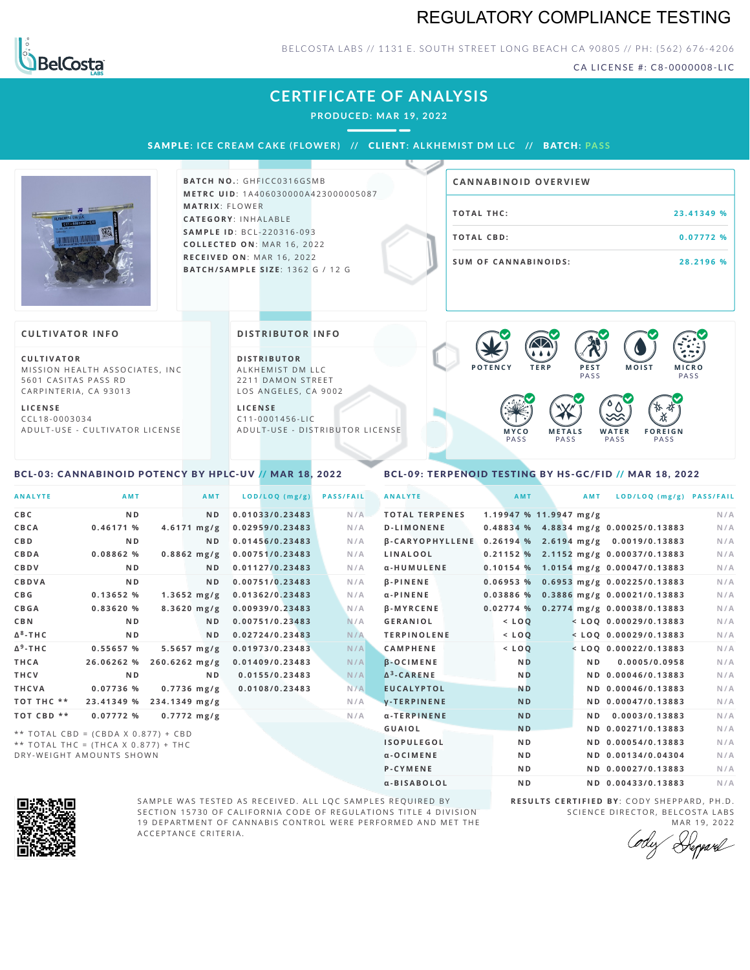### REGULATORY COMPLIANCE TESTING



#### BELCOSTA LABS // 1131 E. SOUTH STREET LONG BEACH CA 90805 // PH: (562) 676-4206

CA LICENSE #: C8-0000008-LIC

## **CERTIFICATE OF ANALYSIS**

**PRODUCED: MA R 19, 2022**

SAMPLE: ICE CREAM CAKE (FLOWER) // CLIENT: ALKHEMIST DM LLC // BATCH: PASS



**BATCH NO.: GHFICC0316GSMB M E T R C U ID** :1 A 4 0 6 0 3 0 0 0 0 A 4 2 3 0 0 0 0 0 5 0 8 7 **M AT R I X** :F L O W E R **CAT E G O R Y** : I N H A L A B L E **SA M P L E I D** :B C L - 2 2 0 3 1 6 - 0 9 3  $$ **R E C E I V E D O N** : M A R 1 6 ,2 0 2 2 **BAT C H / SA M P L E S I Z E** : 1 3 6 2 G / 1 2 G

# **T O TAL T H C :2 3 . 4 1 3 4 9 % T O TAL CB D :0 . 0 7 7 7 2 % S U M O F CA N N ABI N O I D S : 2 8 . 2 1 9 6 % CA N N ABI N OID OVERVI EW**

#### **CULTIVATOR I N FO**

**C U L T I VAT O R** MISSION HEALTH ASSOCIATES, INC 5601 CASITAS PASS RD CARPINTERIA, CA 93013

**L I C E N S E** C C L 1 8 - 0 0 0 3 0 3 4 A D U L T - U S E - C U L T I V A T O R L I C E N S E **DI STRIBUTOR I N FO**

**D I S T R IB U T O R** ALKHEMIST DM LLC 2211 DAMON STREET LOS ANGELES, CA 9002

**L I C E N S E**  $C11 - 0001456 - HC$ A D U L T - U S E - D I STRIBUTOR LICENSE



#### <span id="page-0-0"></span>BCL-03: CANNABINOID POTENCY BY HPLC-UV // MAR 18, 2022

#### <span id="page-0-1"></span>BCL-09: TERPENOID TESTING BY HS-GC/FID // MAR 18, 2022

| <b>ANALYTE</b>       | <b>AMT</b>                          |                  | AMT            | LOD/LOQ (mg/g)  | <b>PASS/FAIL</b> | <b>ANALYTE</b>     |                       | AMT            | AMT                    | LOD/LOQ (mg/g) PASS/FAIL                                    |     |
|----------------------|-------------------------------------|------------------|----------------|-----------------|------------------|--------------------|-----------------------|----------------|------------------------|-------------------------------------------------------------|-----|
| C B C                | N <sub>D</sub>                      |                  | N <sub>D</sub> | 0.01033/0.23483 | N/A              |                    | <b>TOTAL TERPENES</b> |                | 1.19947 % 11.9947 mg/g |                                                             | N/A |
| CBCA                 | 0.46171%                            | $4.6171$ mg/g    |                | 0.02959/0.23483 | N/A              |                    | <b>D-LIMONENE</b>     |                |                        | 0.48834 % 4.8834 mg/g 0.00025/0.13883                       | N/A |
| C B D                | N <sub>D</sub>                      |                  | N <sub>D</sub> | 0.01456/0.23483 | N/A              |                    |                       |                |                        | $\beta$ -CARYOPHYLLENE 0.26194 % 2.6194 mg/g 0.0019/0.13883 | N/A |
| CBDA                 | 0.08862%                            | $0.8862$ mg/g    |                | 0.00751/0.23483 | N/A              | LINALOOL           |                       |                |                        | 0.21152 % 2.1152 mg/g 0.00037/0.13883                       | N/A |
| CBDV                 | N <sub>D</sub>                      |                  | N <sub>D</sub> | 0.01127/0.23483 | N/A              |                    | α-HUMULENE            |                |                        | 0.10154 % 1.0154 mg/g 0.00047/0.13883                       | N/A |
| <b>CBDVA</b>         | N <sub>D</sub>                      |                  | N <sub>D</sub> | 0.00751/0.23483 | N/A              | $\beta$ -PINENE    |                       | 0.06953%       |                        | 0.6953 mg/g 0.00225/0.13883                                 | N/A |
| C B G                | 0.13652%                            | $1.3652 \, mg/g$ |                | 0.01362/0.23483 | N/A              | $\alpha$ -PINENE   |                       |                |                        | 0.03886 % 0.3886 mg/g 0.00021/0.13883                       | N/A |
| <b>CBGA</b>          | 0.83620%                            | $8.3620$ mg/g    |                | 0.00939/0.23483 | N/A              | $\beta$ -MYRCENE   |                       |                |                        | 0.02774 % 0.2774 mg/g 0.00038/0.13883                       | N/A |
| C B N                | N <sub>D</sub>                      |                  | ND.            | 0.00751/0.23483 | N/A              | <b>GERANIOL</b>    |                       | $<$ LOQ        |                        | $<$ LOQ 0.00029/0.13883                                     | N/A |
| ∆ <sup>8</sup> -ТНС  | N <sub>D</sub>                      |                  | N <sub>D</sub> | 0.02724/0.23483 | N/A              |                    | <b>TERPINOLENE</b>    | $<$ LOQ        |                        | $<$ LOQ 0.00029/0.13883                                     | N/A |
| Δ <sup>9</sup> -ΤΗ C | 0.55657 %                           | $5.5657 \, mg/g$ |                | 0.01973/0.23483 | N/A              | <b>CAMPHENE</b>    |                       | $<$ LOQ        |                        | $<$ LOQ 0.00022/0.13883                                     | N/A |
| THCA                 | 26.06262 %                          | $260.6262$ mg/g  |                | 0.01409/0.23483 | N/A              | $\beta$ -OCIMENE   |                       | <b>ND</b>      |                        | 0.0005/0.0958<br>N <sub>D</sub>                             | N/A |
| THCV                 | N <sub>D</sub>                      |                  | N <sub>D</sub> | 0.0155/0.23483  | N/A              | $\Delta^3$ -CARENE |                       | <b>ND</b>      |                        | ND 0.00046/0.13883                                          | N/A |
| THCVA                | 0.07736%                            | $0.7736$ mg/g    |                | 0.0108/0.23483  | N/A              |                    | <b>EUCALYPTOL</b>     | <b>ND</b>      |                        | ND 0.00046/0.13883                                          | N/A |
| тот тнс **           | 23.41349 %                          | 234.1349 mg/g    |                |                 | N/A              |                    | <b>V-TERPINENE</b>    | <b>ND</b>      |                        | ND 0.00047/0.13883                                          | N/A |
| ТОТ СВD **           | 0.07772%                            | $0.7772$ mg/g    |                |                 | N/A              |                    | α-TERPINENE           | <b>ND</b>      |                        | 0.0003/0.13883<br>N <sub>D</sub>                            | N/A |
|                      | ** TOTAL CBD = (CBDA X 0.877) + CBD |                  |                |                 |                  | <b>GUAIOL</b>      |                       | <b>ND</b>      |                        | ND 0.00271/0.13883                                          | N/A |
|                      | ** TOTAL THC = (THCA X 0.877) + THC |                  |                |                 |                  |                    | <b>ISOPULEGOL</b>     | N <sub>D</sub> |                        | ND 0.00054/0.13883                                          | N/A |
|                      | DRY-WEIGHT AMOUNTS SHOWN            |                  |                |                 |                  | $\alpha$ -OCIMENE  |                       | N <sub>D</sub> |                        | ND 0.00134/0.04304                                          | N/A |



SAMPLE WAS TESTED AS RECEIVED. ALL LQC SAMPLES REQUIRED BY SECTION 15730 OF CALIFORNIA CODE OF REGULATIONS TITLE 4 DIVISION 19 DEPARTMENT OF CANNABIS CONTROL WERE PERFORMED AND MET THE A C C E P T A N C E C R I T E R I A .

**R E S U L T S C E R T I F I E D BY** : C O D Y S H E P P A R D ,P H .D . SCIENCE DIRECTOR, BELCOSTA LABS MAR 19, 2022

P-CYMENE ND ND ND 0.00027/0.13883 N/A α-BISABOLOL **ND ND 0.00433/0.13883** N/A

Deppard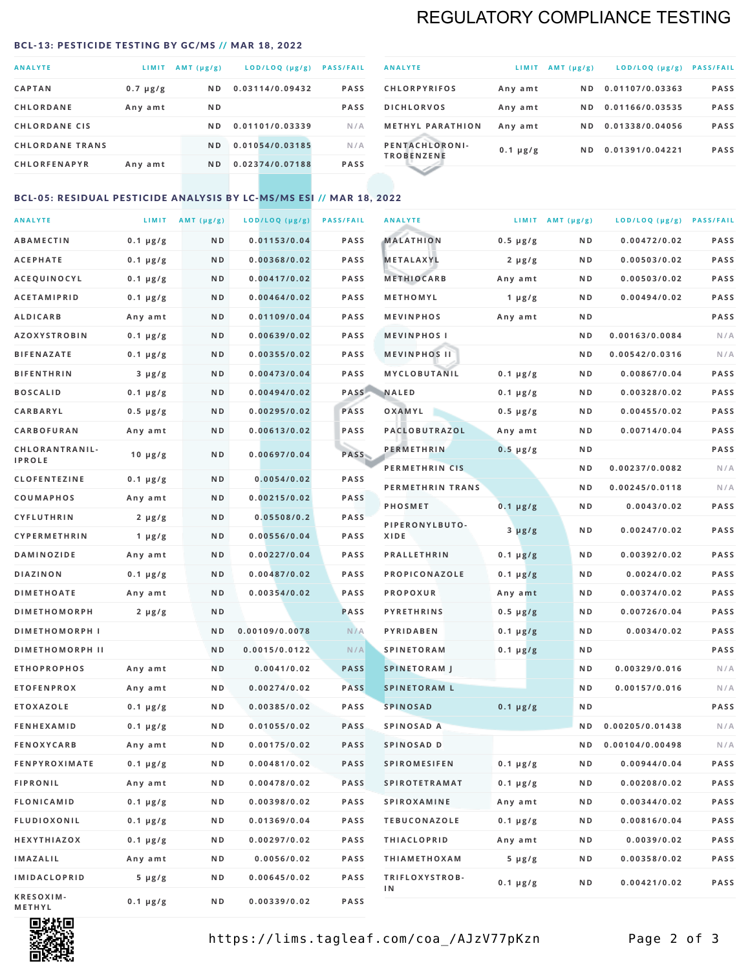## REGULATORY COMPLIANCE TESTING

#### <span id="page-1-0"></span>BCL-13: PESTICIDE TESTING BY GC/MS // MAR 18, 2022

| <b>ANALYTE</b>         | LIMIT         | $AMT(\mu g/g)$ | LOD/LOQ (µg/g)  | <b>PASS/FAIL</b> |
|------------------------|---------------|----------------|-----------------|------------------|
| <b>CAPTAN</b>          | $0.7 \mu g/g$ | ND.            | 0.03114/0.09432 | <b>PASS</b>      |
| <b>CHLORDANE</b>       | Any amt       | N <sub>D</sub> |                 | <b>PASS</b>      |
| <b>CHLORDANE CIS</b>   |               | ND.            | 0.01101/0.03339 | N/A              |
| <b>CHLORDANE TRANS</b> |               | ND.            | 0.01054/0.03185 | N/A              |
| <b>CHLORFENAPYR</b>    | Any amt       | N <sub>D</sub> | 0.02374/0.07188 | <b>PASS</b>      |

| <b>ANALYTE</b>                      | LIMIT         | $AMT (\mu g/g)$ | LOD/LOQ (µg/g)  | <b>PASS/FAIL</b> |
|-------------------------------------|---------------|-----------------|-----------------|------------------|
| <b>CHLORPYRIFOS</b>                 | Any amt       | ND.             | 0.01107/0.03363 | <b>PASS</b>      |
| <b>DICHLORVOS</b>                   | Any amt       | ND.             | 0.01166/0.03535 | <b>PASS</b>      |
| <b>METHYL PARATHION</b>             | Any amt       | ND.             | 0.01338/0.04056 | <b>PASS</b>      |
| PENTACHLORONI-<br><b>TROBENZENE</b> | $0.1 \mu g/g$ | ND.             | 0.01391/0.04221 | <b>PASS</b>      |
|                                     |               |                 |                 |                  |

#### BCL-05: RESIDUAL PESTICIDE ANALYSIS BY LC-MS/MS ESI // MAR 18, 2022

| <b>ANALYTE</b>             |               | LIMIT $AMT (\mu g/g)$ | LOD/LOQ (µg/g) | <b>PASS/FAIL</b> | <b>ANALYTE</b>       |                  | LIMIT AMT $(\mu g/g)$ | LOD/LOQ (µg/g) PASS/FAIL |             |
|----------------------------|---------------|-----------------------|----------------|------------------|----------------------|------------------|-----------------------|--------------------------|-------------|
| <b>ABAMECTIN</b>           | $0.1 \mu g/g$ | N D                   | 0.01153/0.04   | <b>PASS</b>      | <b>MALATHION</b>     | $0.5 \mu g/g$    | N D                   | 0.00472/0.02             | <b>PASS</b> |
| <b>ACEPHATE</b>            | $0.1 \mu g/g$ | N D                   | 0.00368/0.02   | <b>PASS</b>      | <b>METALAXYL</b>     | $2 \mu g/g$      | N D                   | 0.00503/0.02             | PASS        |
| ACEQUINOCYL                | $0.1 \mu g/g$ | N D                   | 0.00417/0.02   | <b>PASS</b>      | <b>METHIOCARB</b>    | Any amt          | N D                   | 0.00503/0.02             | PASS        |
| <b>ACETAMIPRID</b>         | $0.1 \mu g/g$ | N D                   | 0.00464/0.02   | <b>PASS</b>      | METHOMYL             | 1 $\mu$ g/g      | N D                   | 0.00494/0.02             | PASS        |
| <b>ALDICARB</b>            | Any amt       | N D                   | 0.01109/0.04   | <b>PASS</b>      | <b>MEVINPHOS</b>     | Any amt          | N D                   |                          | PASS        |
| <b>AZOXYSTROBIN</b>        | $0.1 \mu g/g$ | N D                   | 0.00639/0.02   | <b>PASS</b>      | <b>MEVINPHOSI</b>    |                  | N D                   | 0.00163/0.0084           | N/A         |
| <b>BIFENAZATE</b>          | $0.1 \mu g/g$ | N D                   | 0.00355/0.02   | PASS             | <b>MEVINPHOS II</b>  |                  | N D                   | 0.00542/0.0316           | N/A         |
| <b>BIFENTHRIN</b>          | $3 \mu g/g$   | N D                   | 0.00473/0.04   | <b>PASS</b>      | <b>MYCLOBUTANIL</b>  | $0.1 \mu g/g$    | N D                   | 0.00867/0.04             | PASS        |
| <b>BOSCALID</b>            | $0.1 \mu g/g$ | N D                   | 0.00494/0.02   | <b>PASS</b>      | <b>NALED</b>         | $0.1 \mu g/g$    | N D                   | 0.00328/0.02             | PASS        |
| CARBARYL                   | $0.5 \mu g/g$ | N D                   | 0.00295/0.02   | PASS             | OXAMYL               | $0.5 \, \mu g/g$ | N D                   | 0.00455/0.02             | PASS        |
| CARBOFURAN                 | Any amt       | N D                   | 0.00613/0.02   | <b>PASS</b>      | PACLOBUTRAZOL        | Any amt          | N D                   | 0.00714/0.04             | PASS        |
| CHLORANTRANIL-             | $10 \mu g/g$  | N D                   | 0.00697/0.04   | PASS             | <b>PERMETHRIN</b>    | $0.5 \mu g/g$    | N D                   |                          | PASS        |
| <b>IPROLE</b>              |               |                       |                |                  | PERMETHRIN CIS       |                  | N D                   | 0.00237/0.0082           | N/A         |
| <b>CLOFENTEZINE</b>        | $0.1 \mu g/g$ | N D                   | 0.0054/0.02    | PASS             | PERMETHRIN TRANS     |                  | N D                   | 0.00245/0.0118           | N/A         |
| <b>COUMAPHOS</b>           | Any amt       | N D                   | 0.00215/0.02   | <b>PASS</b>      | <b>PHOSMET</b>       | $0.1 \, \mu g/g$ | N D                   | 0.0043/0.02              | PASS        |
| <b>CYFLUTHRIN</b>          | $2 \mu g/g$   | N D                   | 0.05508/0.2    | <b>PASS</b>      | PIPERONYLBUTO-       | $3 \mu g/g$      | N D                   | 0.00247/0.02             | PASS        |
| <b>CYPERMETHRIN</b>        | 1 $\mu$ g/g   | ND                    | 0.00556/0.04   | PASS             | XIDE                 |                  |                       |                          |             |
| <b>DAMINOZIDE</b>          | Any amt       | N D                   | 0.00227/0.04   | <b>PASS</b>      | <b>PRALLETHRIN</b>   | $0.1 \mu g/g$    | N D                   | 0.00392/0.02             | PASS        |
| DIAZINON                   | $0.1 \mu g/g$ | N D                   | 0.00487/0.02   | PASS             | PROPICONAZOLE        | $0.1 \mu g/g$    | N D                   | 0.0024/0.02              | PASS        |
| <b>DIMETHOATE</b>          | Any amt       | N D                   | 0.00354/0.02   | <b>PASS</b>      | <b>PROPOXUR</b>      | Any amt          | N D                   | 0.00374/0.02             | PASS        |
| <b>DIMETHOMORPH</b>        | $2 \mu g/g$   | ND                    |                | <b>PASS</b>      | <b>PYRETHRINS</b>    | $0.5 \mu g/g$    | N D                   | 0.00726/0.04             | PASS        |
| <b>DIMETHOMORPH I</b>      |               | N D                   | 0.00109/0.0078 | N/A              | <b>PYRIDABEN</b>     | $0.1 \mu g/g$    | N D                   | 0.0034/0.02              | PASS        |
| <b>DIMETHOMORPH II</b>     |               | ND                    | 0.0015/0.0122  | N/A              | <b>SPINETORAM</b>    | $0.1 \mu g/g$    | N D                   |                          | PASS        |
| <b>ETHOPROPHOS</b>         | Any amt       | N D                   | 0.0041/0.02    | <b>PASS</b>      | <b>SPINETORAM J</b>  |                  | N D                   | 0.00329/0.016            | N/A         |
| <b>ETOFENPROX</b>          | Any amt       | N D                   | 0.00274/0.02   | <b>PASS</b>      | <b>SPINETORAM L</b>  |                  | N D                   | 0.00157/0.016            | N/A         |
| <b>ETOXAZOLE</b>           | $0.1 \mu g/g$ | N D                   | 0.00385/0.02   | PASS             | <b>SPINOSAD</b>      | $0.1 \mu g/g$    | N D                   |                          | PASS        |
| <b>FENHEXAMID</b>          | $0.1 \mu g/g$ | ND                    | 0.01055/0.02   | <b>PASS</b>      | SPINOSAD A           |                  | N D                   | 0.00205/0.01438          | N/A         |
| <b>FENOXYCARB</b>          | Any amt       | N D                   | 0.00175/0.02   | <b>PASS</b>      | SPINOSAD D           |                  | N D                   | 0.00104/0.00498          | N/A         |
| <b>FENPYROXIMATE</b>       | $0.1 \mu g/g$ | N D                   | 0.00481/0.02   | <b>PASS</b>      | <b>SPIROMESIFEN</b>  | $0.1 \, \mu g/g$ | N D                   | 0.00944/0.04             | PASS        |
| <b>FIPRONIL</b>            | Any amt       | N D                   | 0.00478/0.02   | PASS             | <b>SPIROTETRAMAT</b> | $0.1 \mu g/g$    | N D                   | 0.00208/0.02             | PASS        |
| FLONICAMID                 | $0.1 \mu g/g$ | N D                   | 0.00398/0.02   | PASS             | <b>SPIROXAMINE</b>   | Any amt          | N D                   | 0.00344/0.02             | PASS        |
| <b>FLUDIOXONIL</b>         | $0.1 \mu g/g$ | N D                   | 0.01369/0.04   | PASS             | <b>TEBUCONAZOLE</b>  | $0.1 \mu g/g$    | N D                   | 0.00816/0.04             | PASS        |
| HEXYTHIAZOX                | $0.1 \mu g/g$ | N D                   | 0.00297/0.02   | PASS             | <b>THIACLOPRID</b>   | Any amt          | N D                   | 0.0039/0.02              | PASS        |
| <b>IMAZALIL</b>            | Any amt       | N D                   | 0.0056/0.02    | <b>PASS</b>      | <b>THIAMETHOXAM</b>  | $5 \mu g/g$      | N D                   | 0.00358/0.02             | PASS        |
| <b>IMIDACLOPRID</b>        | $5 \mu g/g$   | N D                   | 0.00645/0.02   | PASS             | TRIFLOXYSTROB-<br>ΙN | $0.1 \mu g/g$    | N D                   | 0.00421/0.02             | PASS        |
| KRESOXIM-<br><b>METHYL</b> | $0.1 \mu g/g$ | N D                   | 0.00339/0.02   | PASS             |                      |                  |                       |                          |             |